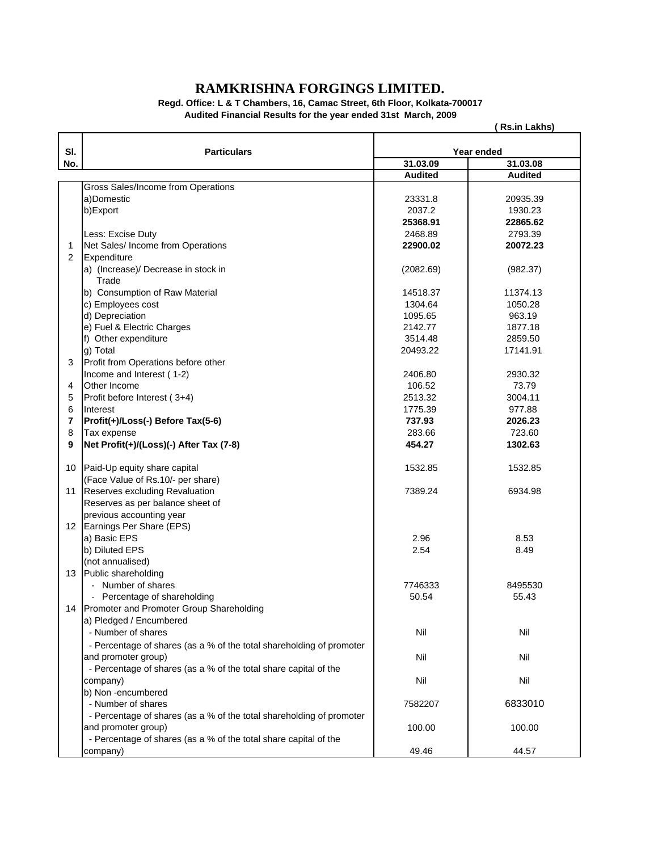## **RAMKRISHNA FORGINGS LIMITED.**

**Regd. Office: L & T Chambers, 16, Camac Street, 6th Floor, Kolkata-700017 Audited Financial Results for the year ended 31st March, 2009**

**( Rs.in Lakhs)**

| SI.                     | <b>Particulars</b>                                                   |                | Year ended     |  |
|-------------------------|----------------------------------------------------------------------|----------------|----------------|--|
| No.                     |                                                                      | 31.03.09       | 31.03.08       |  |
|                         |                                                                      | <b>Audited</b> | <b>Audited</b> |  |
|                         | Gross Sales/Income from Operations                                   |                |                |  |
|                         | a)Domestic                                                           | 23331.8        | 20935.39       |  |
|                         | b)Export                                                             | 2037.2         | 1930.23        |  |
|                         |                                                                      | 25368.91       | 22865.62       |  |
|                         | Less: Excise Duty                                                    | 2468.89        | 2793.39        |  |
| $\mathbf{1}$            | Net Sales/ Income from Operations                                    | 22900.02       | 20072.23       |  |
| 2                       | Expenditure                                                          |                |                |  |
|                         | a) (Increase)/ Decrease in stock in                                  | (2082.69)      | (982.37)       |  |
|                         | Trade                                                                |                |                |  |
|                         | b) Consumption of Raw Material                                       | 14518.37       | 11374.13       |  |
|                         | c) Employees cost                                                    | 1304.64        | 1050.28        |  |
|                         | d) Depreciation                                                      | 1095.65        | 963.19         |  |
|                         | e) Fuel & Electric Charges                                           | 2142.77        | 1877.18        |  |
|                         | f) Other expenditure                                                 | 3514.48        | 2859.50        |  |
|                         | g) Total                                                             | 20493.22       | 17141.91       |  |
| 3                       | Profit from Operations before other                                  |                |                |  |
|                         | Income and Interest (1-2)                                            | 2406.80        | 2930.32        |  |
| 4                       | Other Income                                                         | 106.52         | 73.79          |  |
| 5                       | Profit before Interest (3+4)                                         | 2513.32        | 3004.11        |  |
| 6                       | Interest                                                             | 1775.39        | 977.88         |  |
| $\overline{\mathbf{r}}$ | Profit(+)/Loss(-) Before Tax(5-6)                                    | 737.93         | 2026.23        |  |
| 8                       | Tax expense                                                          | 283.66         | 723.60         |  |
| 9                       | Net Profit(+)/(Loss)(-) After Tax (7-8)                              | 454.27         | 1302.63        |  |
|                         |                                                                      |                |                |  |
| 10                      | Paid-Up equity share capital                                         | 1532.85        | 1532.85        |  |
|                         | (Face Value of Rs.10/- per share)                                    |                |                |  |
| 11                      | Reserves excluding Revaluation                                       | 7389.24        | 6934.98        |  |
|                         | Reserves as per balance sheet of                                     |                |                |  |
|                         | previous accounting year                                             |                |                |  |
| 12 <sup>°</sup>         | Earnings Per Share (EPS)                                             |                |                |  |
|                         | a) Basic EPS                                                         | 2.96           | 8.53           |  |
|                         | b) Diluted EPS                                                       | 2.54           | 8.49           |  |
|                         | (not annualised)                                                     |                |                |  |
| 13                      | Public shareholding                                                  |                |                |  |
|                         | - Number of shares                                                   | 7746333        | 8495530        |  |
|                         | - Percentage of shareholding                                         | 50.54          | 55.43          |  |
| 14                      | Promoter and Promoter Group Shareholding                             |                |                |  |
|                         | a) Pledged / Encumbered                                              |                |                |  |
|                         | - Number of shares                                                   | Nil            | Nil            |  |
|                         |                                                                      |                |                |  |
|                         | - Percentage of shares (as a % of the total shareholding of promoter |                |                |  |
|                         | and promoter group)                                                  | Nil            | Nil            |  |
|                         | - Percentage of shares (as a % of the total share capital of the     |                |                |  |
|                         | company)                                                             | Nil            | Nil            |  |
|                         | b) Non-encumbered                                                    |                |                |  |
|                         | - Number of shares                                                   | 7582207        | 6833010        |  |
|                         | - Percentage of shares (as a % of the total shareholding of promoter |                |                |  |
|                         | and promoter group)                                                  | 100.00         | 100.00         |  |
|                         | - Percentage of shares (as a % of the total share capital of the     |                |                |  |
|                         | company)                                                             | 49.46          | 44.57          |  |